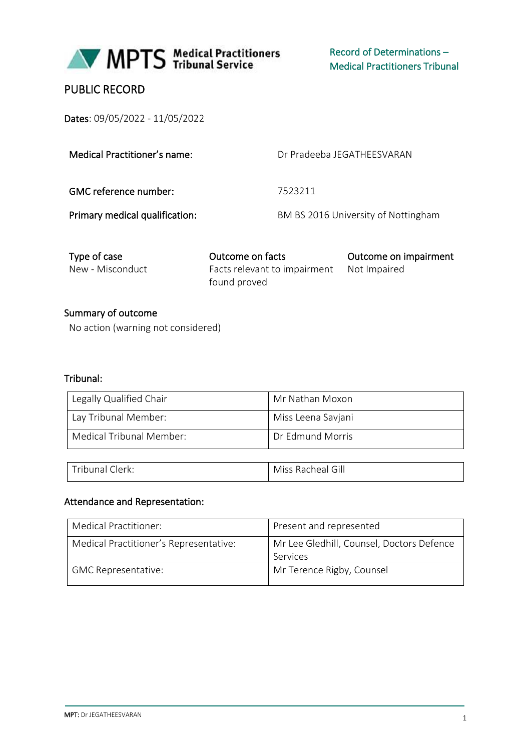

# PUBLIC RECORD

Dates: 09/05/2022 - 11/05/2022

| Medical Practitioner's name:   | Dr Pradeeba JFGATHFFSVARAN          |
|--------------------------------|-------------------------------------|
| GMC reference number:          | 7523211                             |
| Primary medical qualification: | BM BS 2016 University of Nottingham |

| Type of case     | Outcome on facts                          | Outcome on impairment |
|------------------|-------------------------------------------|-----------------------|
| New - Misconduct | Facts relevant to impairment Not Impaired |                       |
|                  | found proved                              |                       |

Summary of outcome No action (warning not considered)

#### Tribunal:

| Legally Qualified Chair  | Mr Nathan Moxon    |
|--------------------------|--------------------|
| Lay Tribunal Member:     | Miss Leena Savjani |
| Medical Tribunal Member: | Dr Edmund Morris   |

| $\tau$ ribunai<br>Clerk: | $\sim$<br>Miss<br>االک<br>- Racheail |
|--------------------------|--------------------------------------|
|                          |                                      |

#### Attendance and Representation:

| Medical Practitioner:                  | Present and represented                               |
|----------------------------------------|-------------------------------------------------------|
| Medical Practitioner's Representative: | Mr Lee Gledhill, Counsel, Doctors Defence<br>Services |
| <b>GMC Representative:</b>             | Mr Terence Rigby, Counsel                             |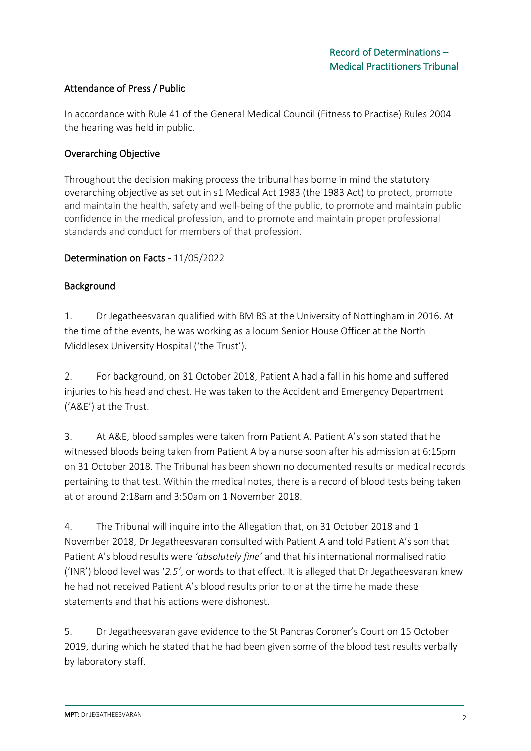# Attendance of Press / Public

In accordance with Rule 41 of the General Medical Council (Fitness to Practise) Rules 2004 the hearing was held in public.

### Overarching Objective

Throughout the decision making process the tribunal has borne in mind the statutory overarching objective as set out in s1 Medical Act 1983 (the 1983 Act) to protect, promote and maintain the health, safety and well-being of the public, to promote and maintain public confidence in the medical profession, and to promote and maintain proper professional standards and conduct for members of that profession.

### Determination on Facts - 11/05/2022

### Background

1. Dr Jegatheesvaran qualified with BM BS at the University of Nottingham in 2016. At the time of the events, he was working as a locum Senior House Officer at the North Middlesex University Hospital ('the Trust').

2. For background, on 31 October 2018, Patient A had a fall in his home and suffered injuries to his head and chest. He was taken to the Accident and Emergency Department ('A&E') at the Trust.

3. At A&E, blood samples were taken from Patient A. Patient A's son stated that he witnessed bloods being taken from Patient A by a nurse soon after his admission at 6:15pm on 31 October 2018. The Tribunal has been shown no documented results or medical records pertaining to that test. Within the medical notes, there is a record of blood tests being taken at or around 2:18am and 3:50am on 1 November 2018.

4. The Tribunal will inquire into the Allegation that, on 31 October 2018 and 1 November 2018, Dr Jegatheesvaran consulted with Patient A and told Patient A's son that Patient A's blood results were *'absolutely fine'* and that his international normalised ratio ('INR') blood level was '*2.5'*, or words to that effect. It is alleged that Dr Jegatheesvaran knew he had not received Patient A's blood results prior to or at the time he made these statements and that his actions were dishonest.

5. Dr Jegatheesvaran gave evidence to the St Pancras Coroner's Court on 15 October 2019, during which he stated that he had been given some of the blood test results verbally by laboratory staff.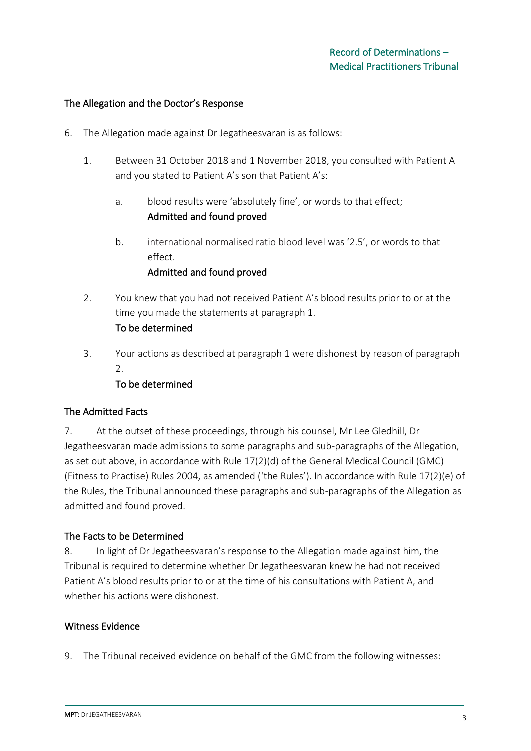#### The Allegation and the Doctor's Response

- 6. The Allegation made against Dr Jegatheesvaran is as follows:
	- 1. Between 31 October 2018 and 1 November 2018, you consulted with Patient A and you stated to Patient A's son that Patient A's:
		- a. blood results were 'absolutely fine', or words to that effect; Admitted and found proved
		- b. international normalised ratio blood level was '2.5', or words to that effect.

#### Admitted and found proved

- 2. You knew that you had not received Patient A's blood results prior to or at the time you made the statements at paragraph 1. To be determined
- 3. Your actions as described at paragraph 1 were dishonest by reason of paragraph 2.

### To be determined

### The Admitted Facts

7. At the outset of these proceedings, through his counsel, Mr Lee Gledhill, Dr Jegatheesvaran made admissions to some paragraphs and sub-paragraphs of the Allegation, as set out above, in accordance with Rule 17(2)(d) of the General Medical Council (GMC) (Fitness to Practise) Rules 2004, as amended ('the Rules'). In accordance with Rule 17(2)(e) of the Rules, the Tribunal announced these paragraphs and sub-paragraphs of the Allegation as admitted and found proved.

### The Facts to be Determined

8. In light of Dr Jegatheesvaran's response to the Allegation made against him, the Tribunal is required to determine whether Dr Jegatheesvaran knew he had not received Patient A's blood results prior to or at the time of his consultations with Patient A, and whether his actions were dishonest.

#### Witness Evidence

9. The Tribunal received evidence on behalf of the GMC from the following witnesses: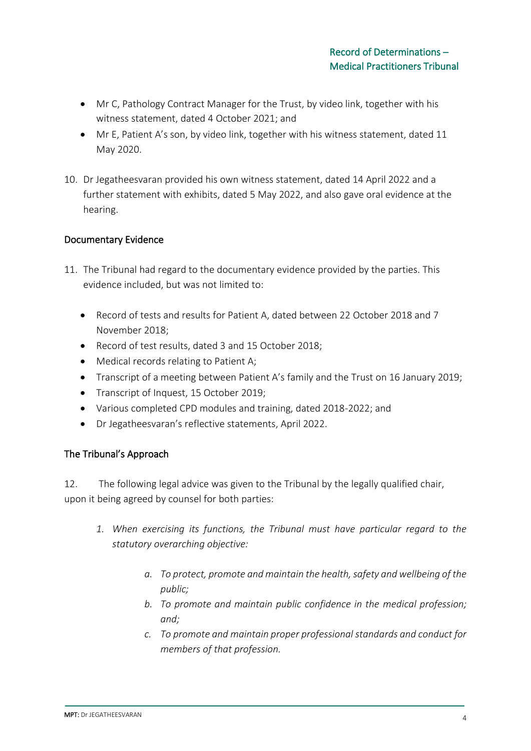- Mr C, Pathology Contract Manager for the Trust, by video link, together with his witness statement, dated 4 October 2021; and
- Mr E, Patient A's son, by video link, together with his witness statement, dated 11 May 2020.
- 10. Dr Jegatheesvaran provided his own witness statement, dated 14 April 2022 and a further statement with exhibits, dated 5 May 2022, and also gave oral evidence at the hearing.

# Documentary Evidence

- 11. The Tribunal had regard to the documentary evidence provided by the parties. This evidence included, but was not limited to:
	- Record of tests and results for Patient A, dated between 22 October 2018 and 7 November 2018;
	- Record of test results, dated 3 and 15 October 2018;
	- Medical records relating to Patient A;
	- Transcript of a meeting between Patient A's family and the Trust on 16 January 2019;
	- Transcript of Inquest, 15 October 2019;
	- Various completed CPD modules and training, dated 2018-2022; and
	- Dr Jegatheesvaran's reflective statements, April 2022.

# The Tribunal's Approach

12. The following legal advice was given to the Tribunal by the legally qualified chair, upon it being agreed by counsel for both parties:

- *1. When exercising its functions, the Tribunal must have particular regard to the statutory overarching objective:*
	- *a. To protect, promote and maintain the health, safety and wellbeing of the public;*
	- *b. To promote and maintain public confidence in the medical profession; and;*
	- *c. To promote and maintain proper professional standards and conduct for members of that profession.*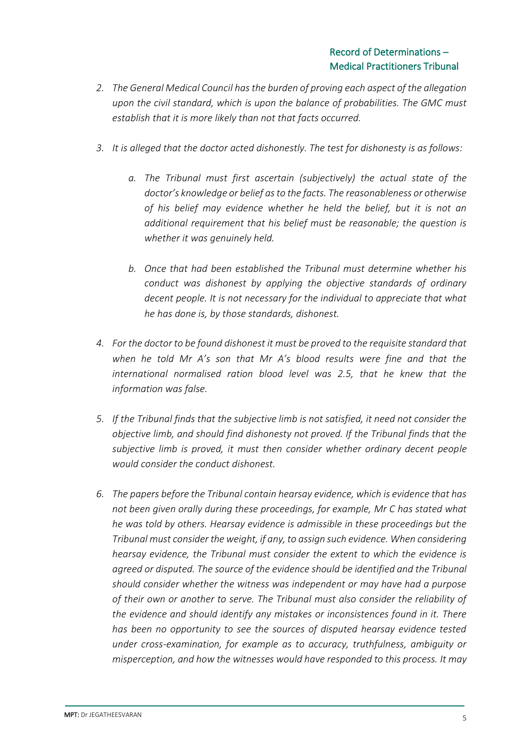- *2. The General Medical Council has the burden of proving each aspect of the allegation upon the civil standard, which is upon the balance of probabilities. The GMC must establish that it is more likely than not that facts occurred.*
- *3. It is alleged that the doctor acted dishonestly. The test for dishonesty is as follows:* 
	- *a. The Tribunal must first ascertain (subjectively) the actual state of the doctor's knowledge or belief as to the facts. The reasonableness or otherwise of his belief may evidence whether he held the belief, but it is not an additional requirement that his belief must be reasonable; the question is whether it was genuinely held.*
	- *b. Once that had been established the Tribunal must determine whether his conduct was dishonest by applying the objective standards of ordinary decent people. It is not necessary for the individual to appreciate that what he has done is, by those standards, dishonest.*
- *4. For the doctor to be found dishonest it must be proved to the requisite standard that when he told Mr A's son that Mr A's blood results were fine and that the international normalised ration blood level was 2.5, that he knew that the information was false.*
- *5. If the Tribunal finds that the subjective limb is not satisfied, it need not consider the objective limb, and should find dishonesty not proved. If the Tribunal finds that the subjective limb is proved, it must then consider whether ordinary decent people would consider the conduct dishonest.*
- *6. The papers before the Tribunal contain hearsay evidence, which is evidence that has not been given orally during these proceedings, for example, Mr C has stated what he was told by others. Hearsay evidence is admissible in these proceedings but the Tribunal must consider the weight, if any, to assign such evidence. When considering hearsay evidence, the Tribunal must consider the extent to which the evidence is agreed or disputed. The source of the evidence should be identified and the Tribunal should consider whether the witness was independent or may have had a purpose of their own or another to serve. The Tribunal must also consider the reliability of the evidence and should identify any mistakes or inconsistences found in it. There has been no opportunity to see the sources of disputed hearsay evidence tested under cross-examination, for example as to accuracy, truthfulness, ambiguity or misperception, and how the witnesses would have responded to this process. It may*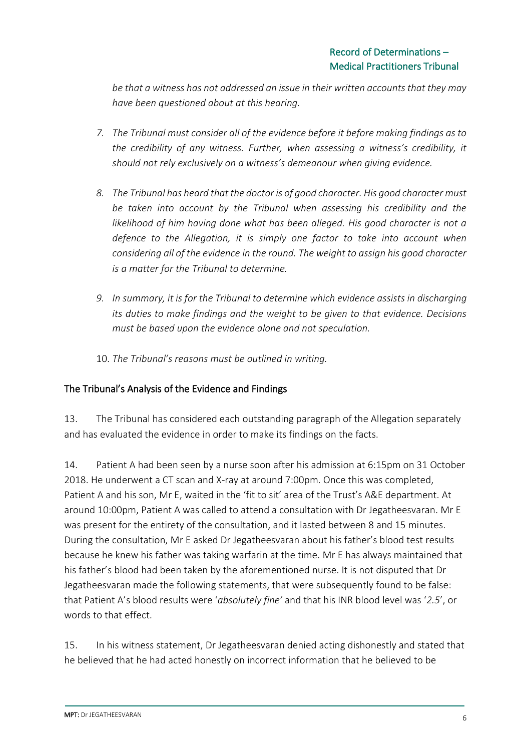*be that a witness has not addressed an issue in their written accounts that they may have been questioned about at this hearing.* 

- *7. The Tribunal must consider all of the evidence before it before making findings as to the credibility of any witness. Further, when assessing a witness's credibility, it should not rely exclusively on a witness's demeanour when giving evidence.*
- *8. The Tribunal has heard that the doctor is of good character. His good character must be taken into account by the Tribunal when assessing his credibility and the likelihood of him having done what has been alleged. His good character is not a defence to the Allegation, it is simply one factor to take into account when considering all of the evidence in the round. The weight to assign his good character is a matter for the Tribunal to determine.*
- *9. In summary, it is for the Tribunal to determine which evidence assists in discharging its duties to make findings and the weight to be given to that evidence. Decisions must be based upon the evidence alone and not speculation.*
- 10. *The Tribunal's reasons must be outlined in writing.*

# The Tribunal's Analysis of the Evidence and Findings

13. The Tribunal has considered each outstanding paragraph of the Allegation separately and has evaluated the evidence in order to make its findings on the facts.

14. Patient A had been seen by a nurse soon after his admission at 6:15pm on 31 October 2018. He underwent a CT scan and X-ray at around 7:00pm. Once this was completed, Patient A and his son, Mr E, waited in the 'fit to sit' area of the Trust's A&E department. At around 10:00pm, Patient A was called to attend a consultation with Dr Jegatheesvaran. Mr E was present for the entirety of the consultation, and it lasted between 8 and 15 minutes. During the consultation, Mr E asked Dr Jegatheesvaran about his father's blood test results because he knew his father was taking warfarin at the time. Mr E has always maintained that his father's blood had been taken by the aforementioned nurse. It is not disputed that Dr Jegatheesvaran made the following statements, that were subsequently found to be false: that Patient A's blood results were '*absolutely fine'* and that his INR blood level was '*2.5*', or words to that effect.

15. In his witness statement, Dr Jegatheesvaran denied acting dishonestly and stated that he believed that he had acted honestly on incorrect information that he believed to be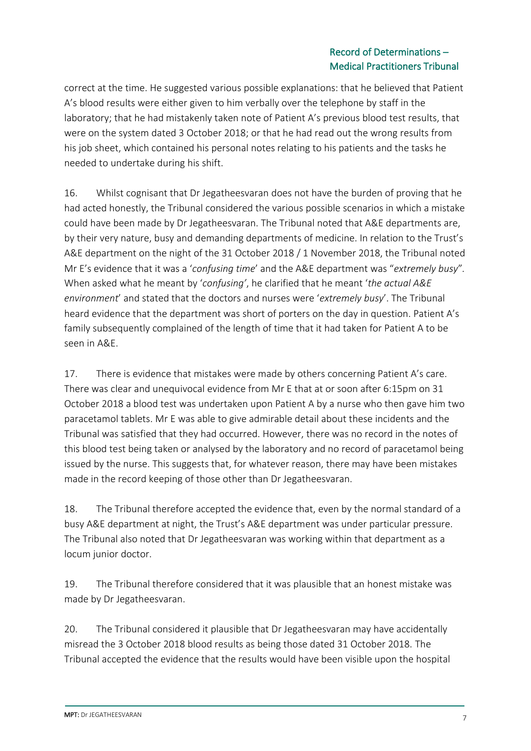# Record of Determinations – Medical Practitioners Tribunal

correct at the time. He suggested various possible explanations: that he believed that Patient A's blood results were either given to him verbally over the telephone by staff in the laboratory; that he had mistakenly taken note of Patient A's previous blood test results, that were on the system dated 3 October 2018; or that he had read out the wrong results from his job sheet, which contained his personal notes relating to his patients and the tasks he needed to undertake during his shift.

16. Whilst cognisant that Dr Jegatheesvaran does not have the burden of proving that he had acted honestly, the Tribunal considered the various possible scenarios in which a mistake could have been made by Dr Jegatheesvaran. The Tribunal noted that A&E departments are, by their very nature, busy and demanding departments of medicine. In relation to the Trust's A&E department on the night of the 31 October 2018 / 1 November 2018, the Tribunal noted Mr E's evidence that it was a '*confusing time*' and the A&E department was "*extremely busy*"*.* When asked what he meant by '*confusing'*, he clarified that he meant '*the actual A&E environment*' and stated that the doctors and nurses were '*extremely busy*'. The Tribunal heard evidence that the department was short of porters on the day in question. Patient A's family subsequently complained of the length of time that it had taken for Patient A to be seen in A&E.

17. There is evidence that mistakes were made by others concerning Patient A's care. There was clear and unequivocal evidence from Mr E that at or soon after 6:15pm on 31 October 2018 a blood test was undertaken upon Patient A by a nurse who then gave him two paracetamol tablets. Mr E was able to give admirable detail about these incidents and the Tribunal was satisfied that they had occurred. However, there was no record in the notes of this blood test being taken or analysed by the laboratory and no record of paracetamol being issued by the nurse. This suggests that, for whatever reason, there may have been mistakes made in the record keeping of those other than Dr Jegatheesvaran.

18. The Tribunal therefore accepted the evidence that, even by the normal standard of a busy A&E department at night, the Trust's A&E department was under particular pressure. The Tribunal also noted that Dr Jegatheesvaran was working within that department as a locum junior doctor.

19. The Tribunal therefore considered that it was plausible that an honest mistake was made by Dr Jegatheesvaran.

20. The Tribunal considered it plausible that Dr Jegatheesvaran may have accidentally misread the 3 October 2018 blood results as being those dated 31 October 2018. The Tribunal accepted the evidence that the results would have been visible upon the hospital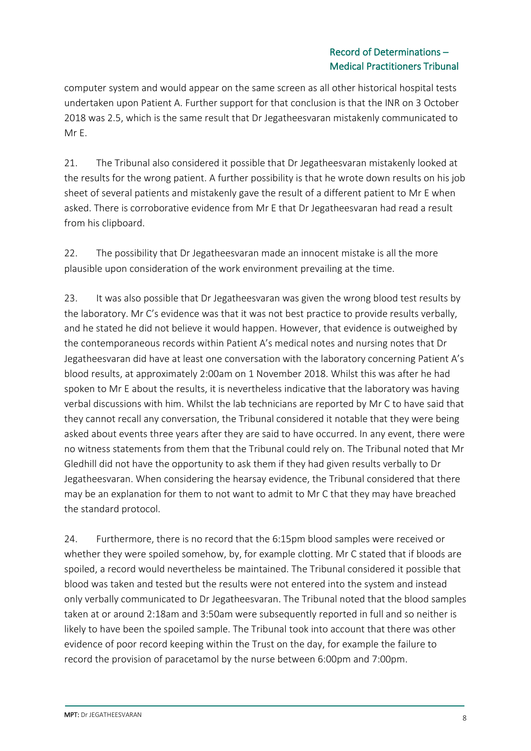# Record of Determinations – Medical Practitioners Tribunal

computer system and would appear on the same screen as all other historical hospital tests undertaken upon Patient A. Further support for that conclusion is that the INR on 3 October 2018 was 2.5, which is the same result that Dr Jegatheesvaran mistakenly communicated to Mr E.

21. The Tribunal also considered it possible that Dr Jegatheesvaran mistakenly looked at the results for the wrong patient. A further possibility is that he wrote down results on his job sheet of several patients and mistakenly gave the result of a different patient to Mr E when asked. There is corroborative evidence from Mr E that Dr Jegatheesvaran had read a result from his clipboard.

22. The possibility that Dr Jegatheesvaran made an innocent mistake is all the more plausible upon consideration of the work environment prevailing at the time.

23. It was also possible that Dr Jegatheesvaran was given the wrong blood test results by the laboratory. Mr C's evidence was that it was not best practice to provide results verbally, and he stated he did not believe it would happen. However, that evidence is outweighed by the contemporaneous records within Patient A's medical notes and nursing notes that Dr Jegatheesvaran did have at least one conversation with the laboratory concerning Patient A's blood results, at approximately 2:00am on 1 November 2018. Whilst this was after he had spoken to Mr E about the results, it is nevertheless indicative that the laboratory was having verbal discussions with him. Whilst the lab technicians are reported by Mr C to have said that they cannot recall any conversation, the Tribunal considered it notable that they were being asked about events three years after they are said to have occurred. In any event, there were no witness statements from them that the Tribunal could rely on. The Tribunal noted that Mr Gledhill did not have the opportunity to ask them if they had given results verbally to Dr Jegatheesvaran. When considering the hearsay evidence, the Tribunal considered that there may be an explanation for them to not want to admit to Mr C that they may have breached the standard protocol.

24. Furthermore, there is no record that the 6:15pm blood samples were received or whether they were spoiled somehow, by, for example clotting. Mr C stated that if bloods are spoiled, a record would nevertheless be maintained. The Tribunal considered it possible that blood was taken and tested but the results were not entered into the system and instead only verbally communicated to Dr Jegatheesvaran. The Tribunal noted that the blood samples taken at or around 2:18am and 3:50am were subsequently reported in full and so neither is likely to have been the spoiled sample. The Tribunal took into account that there was other evidence of poor record keeping within the Trust on the day, for example the failure to record the provision of paracetamol by the nurse between 6:00pm and 7:00pm.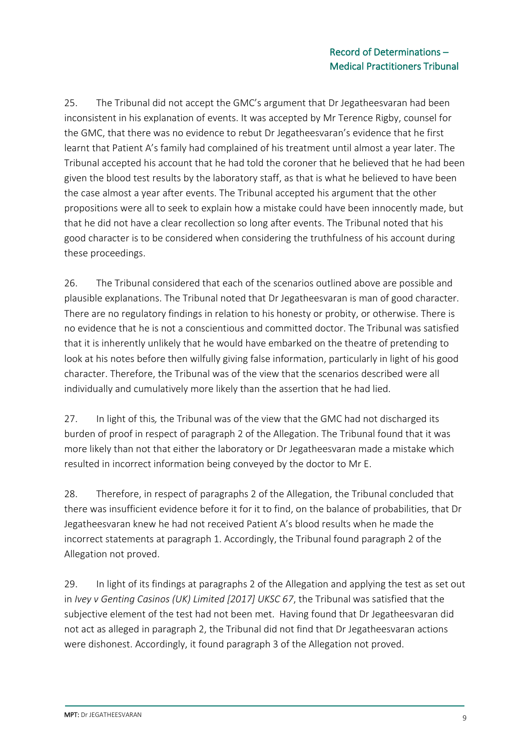25. The Tribunal did not accept the GMC's argument that Dr Jegatheesvaran had been inconsistent in his explanation of events. It was accepted by Mr Terence Rigby, counsel for the GMC, that there was no evidence to rebut Dr Jegatheesvaran's evidence that he first learnt that Patient A's family had complained of his treatment until almost a year later. The Tribunal accepted his account that he had told the coroner that he believed that he had been given the blood test results by the laboratory staff, as that is what he believed to have been the case almost a year after events. The Tribunal accepted his argument that the other propositions were all to seek to explain how a mistake could have been innocently made, but that he did not have a clear recollection so long after events. The Tribunal noted that his good character is to be considered when considering the truthfulness of his account during these proceedings.

26. The Tribunal considered that each of the scenarios outlined above are possible and plausible explanations. The Tribunal noted that Dr Jegatheesvaran is man of good character. There are no regulatory findings in relation to his honesty or probity, or otherwise. There is no evidence that he is not a conscientious and committed doctor. The Tribunal was satisfied that it is inherently unlikely that he would have embarked on the theatre of pretending to look at his notes before then wilfully giving false information, particularly in light of his good character. Therefore, the Tribunal was of the view that the scenarios described were all individually and cumulatively more likely than the assertion that he had lied.

27. In light of this*,* the Tribunal was of the view that the GMC had not discharged its burden of proof in respect of paragraph 2 of the Allegation. The Tribunal found that it was more likely than not that either the laboratory or Dr Jegatheesvaran made a mistake which resulted in incorrect information being conveyed by the doctor to Mr E.

28. Therefore, in respect of paragraphs 2 of the Allegation, the Tribunal concluded that there was insufficient evidence before it for it to find, on the balance of probabilities, that Dr Jegatheesvaran knew he had not received Patient A's blood results when he made the incorrect statements at paragraph 1. Accordingly, the Tribunal found paragraph 2 of the Allegation not proved.

29. In light of its findings at paragraphs 2 of the Allegation and applying the test as set out in *Ivey v Genting Casinos (UK) Limited [2017] UKSC 67*, the Tribunal was satisfied that the subjective element of the test had not been met. Having found that Dr Jegatheesvaran did not act as alleged in paragraph 2, the Tribunal did not find that Dr Jegatheesvaran actions were dishonest. Accordingly, it found paragraph 3 of the Allegation not proved.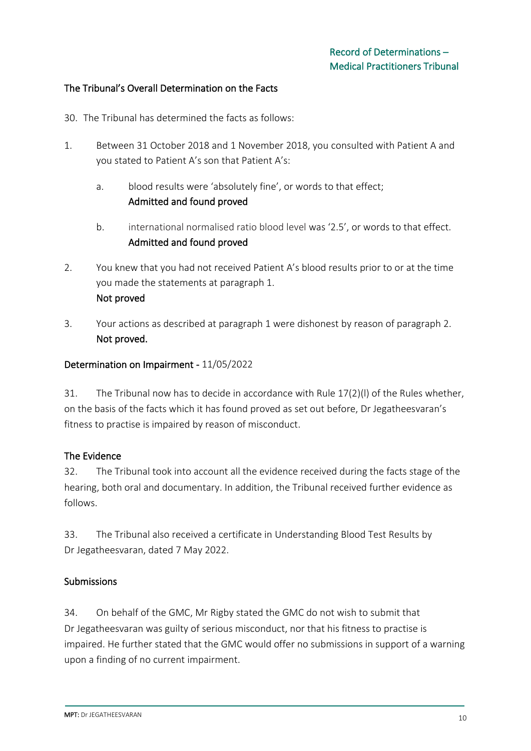## The Tribunal's Overall Determination on the Facts

- 30. The Tribunal has determined the facts as follows:
- 1. Between 31 October 2018 and 1 November 2018, you consulted with Patient A and you stated to Patient A's son that Patient A's:
	- a. blood results were 'absolutely fine', or words to that effect; Admitted and found proved
	- b. international normalised ratio blood level was '2.5', or words to that effect. Admitted and found proved
- 2. You knew that you had not received Patient A's blood results prior to or at the time you made the statements at paragraph 1. Not proved
- 3. Your actions as described at paragraph 1 were dishonest by reason of paragraph 2. Not proved.

### Determination on Impairment - 11/05/2022

31. The Tribunal now has to decide in accordance with Rule 17(2)(l) of the Rules whether, on the basis of the facts which it has found proved as set out before, Dr Jegatheesvaran's fitness to practise is impaired by reason of misconduct.

### The Evidence

32. The Tribunal took into account all the evidence received during the facts stage of the hearing, both oral and documentary. In addition, the Tribunal received further evidence as follows.

33. The Tribunal also received a certificate in Understanding Blood Test Results by Dr Jegatheesvaran, dated 7 May 2022.

#### Submissions

34. On behalf of the GMC, Mr Rigby stated the GMC do not wish to submit that Dr Jegatheesvaran was guilty of serious misconduct, nor that his fitness to practise is impaired. He further stated that the GMC would offer no submissions in support of a warning upon a finding of no current impairment.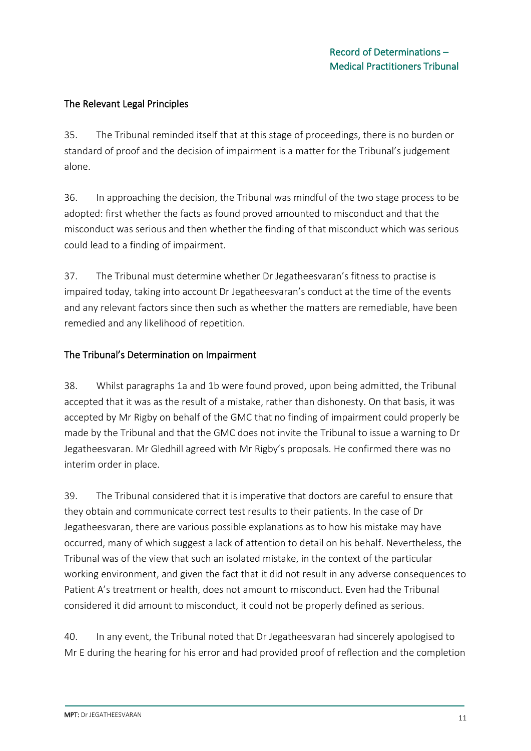# The Relevant Legal Principles

35. The Tribunal reminded itself that at this stage of proceedings, there is no burden or standard of proof and the decision of impairment is a matter for the Tribunal's judgement alone.

36. In approaching the decision, the Tribunal was mindful of the two stage process to be adopted: first whether the facts as found proved amounted to misconduct and that the misconduct was serious and then whether the finding of that misconduct which was serious could lead to a finding of impairment.

37. The Tribunal must determine whether Dr Jegatheesvaran's fitness to practise is impaired today, taking into account Dr Jegatheesvaran's conduct at the time of the events and any relevant factors since then such as whether the matters are remediable, have been remedied and any likelihood of repetition.

# The Tribunal's Determination on Impairment

38. Whilst paragraphs 1a and 1b were found proved, upon being admitted, the Tribunal accepted that it was as the result of a mistake, rather than dishonesty. On that basis, it was accepted by Mr Rigby on behalf of the GMC that no finding of impairment could properly be made by the Tribunal and that the GMC does not invite the Tribunal to issue a warning to Dr Jegatheesvaran. Mr Gledhill agreed with Mr Rigby's proposals. He confirmed there was no interim order in place.

39. The Tribunal considered that it is imperative that doctors are careful to ensure that they obtain and communicate correct test results to their patients. In the case of Dr Jegatheesvaran, there are various possible explanations as to how his mistake may have occurred, many of which suggest a lack of attention to detail on his behalf. Nevertheless, the Tribunal was of the view that such an isolated mistake, in the context of the particular working environment, and given the fact that it did not result in any adverse consequences to Patient A's treatment or health, does not amount to misconduct. Even had the Tribunal considered it did amount to misconduct, it could not be properly defined as serious.

40. In any event, the Tribunal noted that Dr Jegatheesvaran had sincerely apologised to Mr E during the hearing for his error and had provided proof of reflection and the completion